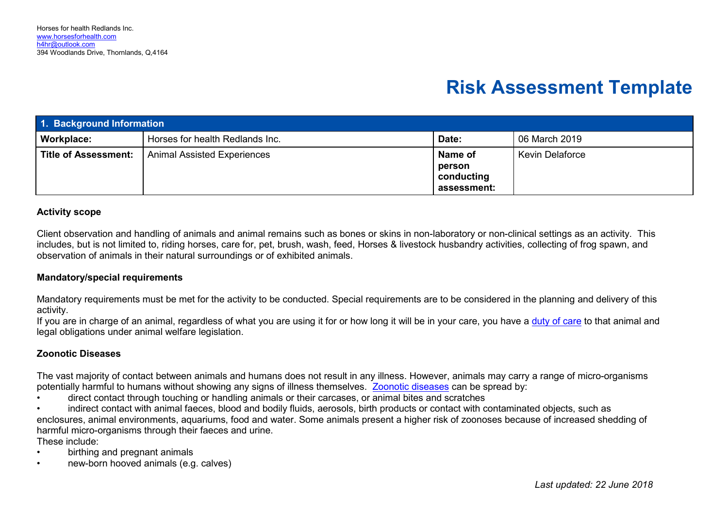| 1. Background Information   |                                    |                                                |                        |
|-----------------------------|------------------------------------|------------------------------------------------|------------------------|
| <b>Workplace:</b>           | Horses for health Redlands Inc.    | Date:                                          | 06 March 2019          |
| <b>Title of Assessment:</b> | <b>Animal Assisted Experiences</b> | Name of<br>person<br>conducting<br>assessment: | <b>Kevin Delaforce</b> |

#### **Activity scope**

Client observation and handling of animals and animal remains such as bones or skins in non-laboratory or non-clinical settings as an activity. This includes, but is not limited to, riding horses, care for, pet, brush, wash, feed, Horses & livestock husbandry activities, collecting of frog spawn, and observation of animals in their natural surroundings or of exhibited animals.

#### **Mandatory/special requirements**

Mandatory requirements must be met for the activity to be conducted. Special requirements are to be considered in the planning and delivery of this activity.

If you are in charge of an animal, regardless of what you are using it for or how long it will be in your care, you have a [duty of care](https://www.business.qld.gov.au/industries/farms-fishing-forestry/agriculture/livestock/animal-welfare/duty-care) to that animal and legal obligations under animal welfare legislation.

#### **Zoonotic Diseases**

The vast majority of contact between animals and humans does not result in any illness. However, animals may carry a range of micro-organisms potentially harmful to humans without showing any signs of illness themselves. [Zoonotic diseases](https://www.daf.qld.gov.au/business-priorities/biosecurity/animal-biosecurity-welfare/animal-health-pests-diseases/preventing-zoonoses) can be spread by:

• direct contact through touching or handling animals or their carcases, or animal bites and scratches

• indirect contact with animal faeces, blood and bodily fluids, aerosols, birth products or contact with contaminated objects, such as enclosures, animal environments, aquariums, food and water. Some animals present a higher risk of zoonoses because of increased shedding of harmful micro-organisms through their faeces and urine.

These include:

- birthing and pregnant animals
- new-born hooved animals (e.g. calves)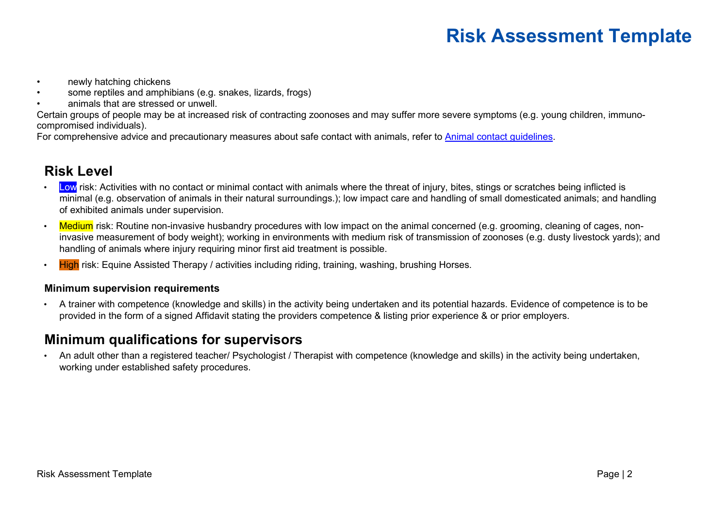- newly hatching chickens
- some reptiles and amphibians (e.g. snakes, lizards, frogs)
- animals that are stressed or unwell.

Certain groups of people may be at increased risk of contracting zoonoses and may suffer more severe symptoms (e.g. young children, immunocompromised individuals).

For comprehensive advice and precautionary measures about safe contact with animals, refer to [Animal contact guidelines.](https://www.health.qld.gov.au/__data/assets/pdf_file/0023/444371/zoo-guidelines.pdf)

#### **Risk Level**

- Low risk: Activities with no contact or minimal contact with animals where the threat of injury, bites, stings or scratches being inflicted is minimal (e.g. observation of animals in their natural surroundings.); low impact care and handling of small domesticated animals; and handling of exhibited animals under supervision.
- Medium risk: Routine non-invasive husbandry procedures with low impact on the animal concerned (e.g. grooming, cleaning of cages, noninvasive measurement of body weight); working in environments with medium risk of transmission of zoonoses (e.g. dusty livestock yards); and handling of animals where injury requiring minor first aid treatment is possible.
- High risk: Equine Assisted Therapy / activities including riding, training, washing, brushing Horses.

#### **Minimum supervision requirements**

• A trainer with competence (knowledge and skills) in the activity being undertaken and its potential hazards. Evidence of competence is to be provided in the form of a signed Affidavit stating the providers competence & listing prior experience & or prior employers.

#### **Minimum qualifications for supervisors**

• An adult other than a registered teacher/ Psychologist / Therapist with competence (knowledge and skills) in the activity being undertaken, working under established safety procedures.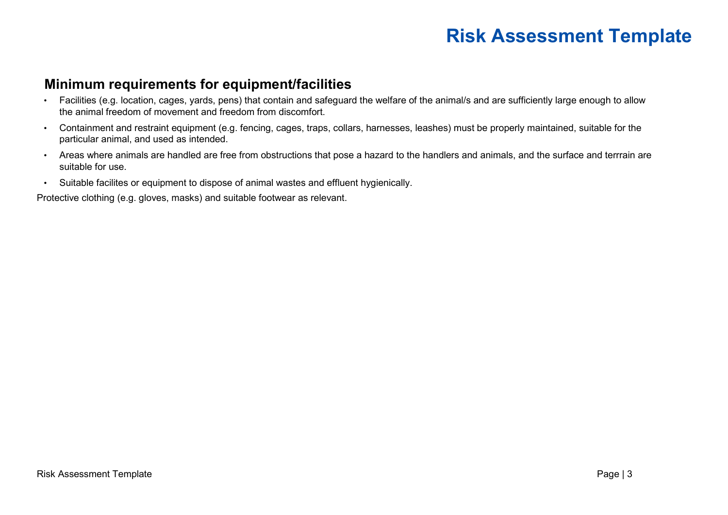#### **Minimum requirements for equipment/facilities**

- Facilities (e.g. location, cages, yards, pens) that contain and safeguard the welfare of the animal/s and are sufficiently large enough to allow the animal freedom of movement and freedom from discomfort.
- Containment and restraint equipment (e.g. fencing, cages, traps, collars, harnesses, leashes) must be properly maintained, suitable for the particular animal, and used as intended.
- Areas where animals are handled are free from obstructions that pose a hazard to the handlers and animals, and the surface and terrrain are suitable for use.
- Suitable facilites or equipment to dispose of animal wastes and effluent hygienically.

Protective clothing (e.g. gloves, masks) and suitable footwear as relevant.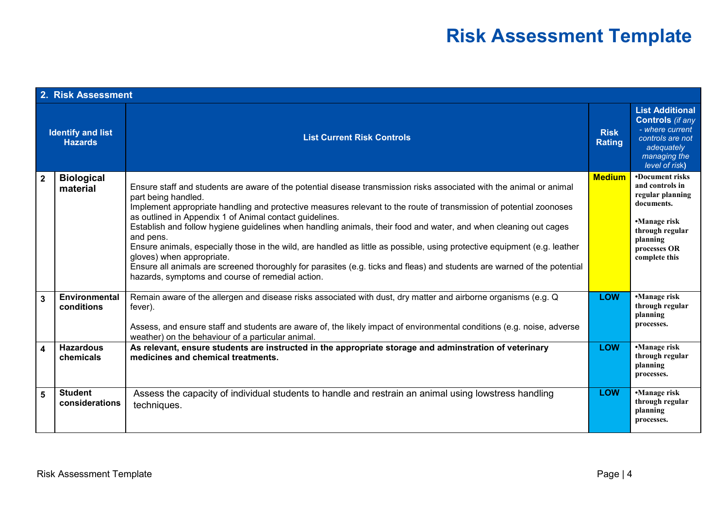| 2. Risk Assessment |                                            |                                                                                                                                                                                                                                                                                                                                                                                                                                                                                                                                                                                                                                                                                                                                                                                                         |                              |                                                                                                                                                      |
|--------------------|--------------------------------------------|---------------------------------------------------------------------------------------------------------------------------------------------------------------------------------------------------------------------------------------------------------------------------------------------------------------------------------------------------------------------------------------------------------------------------------------------------------------------------------------------------------------------------------------------------------------------------------------------------------------------------------------------------------------------------------------------------------------------------------------------------------------------------------------------------------|------------------------------|------------------------------------------------------------------------------------------------------------------------------------------------------|
|                    | <b>Identify and list</b><br><b>Hazards</b> | <b>List Current Risk Controls</b>                                                                                                                                                                                                                                                                                                                                                                                                                                                                                                                                                                                                                                                                                                                                                                       | <b>Risk</b><br><b>Rating</b> | <b>List Additional</b><br><b>Controls</b> (if any<br>- where current<br>controls are not<br>adequately<br>managing the<br>level of risk)             |
|                    | <b>Biological</b><br>material              | Ensure staff and students are aware of the potential disease transmission risks associated with the animal or animal<br>part being handled.<br>Implement appropriate handling and protective measures relevant to the route of transmission of potential zoonoses<br>as outlined in Appendix 1 of Animal contact guidelines.<br>Establish and follow hygiene guidelines when handling animals, their food and water, and when cleaning out cages<br>and pens.<br>Ensure animals, especially those in the wild, are handled as little as possible, using protective equipment (e.g. leather<br>gloves) when appropriate.<br>Ensure all animals are screened thoroughly for parasites (e.g. ticks and fleas) and students are warned of the potential<br>hazards, symptoms and course of remedial action. | <b>Medium</b>                | •Document risks<br>and controls in<br>regular planning<br>documents.<br>•Manage risk<br>through regular<br>planning<br>processes OR<br>complete this |
| $\overline{3}$     | <b>Environmental</b><br>conditions         | Remain aware of the allergen and disease risks associated with dust, dry matter and airborne organisms (e.g. Q<br>fever).<br>Assess, and ensure staff and students are aware of, the likely impact of environmental conditions (e.g. noise, adverse<br>weather) on the behaviour of a particular animal.                                                                                                                                                                                                                                                                                                                                                                                                                                                                                                | <b>LOW</b>                   | •Manage risk<br>through regular<br>planning<br>processes.                                                                                            |
| $\boldsymbol{A}$   | <b>Hazardous</b><br>chemicals              | As relevant, ensure students are instructed in the appropriate storage and adminstration of veterinary<br>medicines and chemical treatments.                                                                                                                                                                                                                                                                                                                                                                                                                                                                                                                                                                                                                                                            | <b>LOW</b>                   | •Manage risk<br>through regular<br>planning<br>processes.                                                                                            |
| 5                  | <b>Student</b><br>considerations           | Assess the capacity of individual students to handle and restrain an animal using lowstress handling<br>techniques.                                                                                                                                                                                                                                                                                                                                                                                                                                                                                                                                                                                                                                                                                     | <b>LOW</b>                   | •Manage risk<br>through regular<br>planning<br>processes.                                                                                            |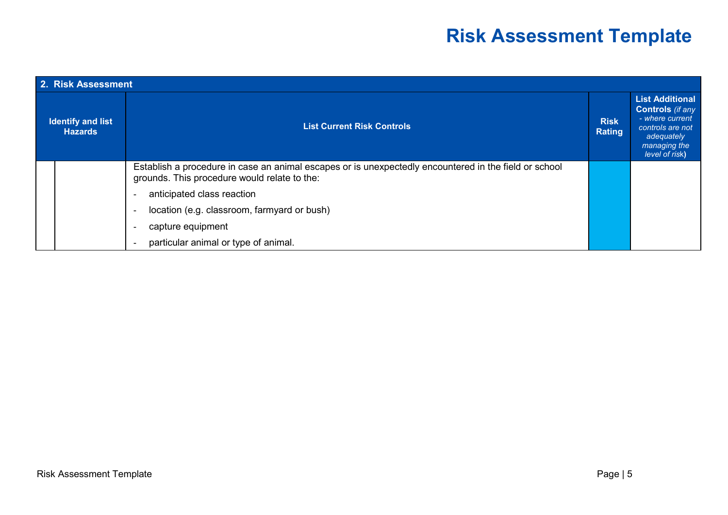| 2. Risk Assessment                         |  |                                                                                                                                                       |                              |                                                                                                                                          |
|--------------------------------------------|--|-------------------------------------------------------------------------------------------------------------------------------------------------------|------------------------------|------------------------------------------------------------------------------------------------------------------------------------------|
| <b>Identify and list</b><br><b>Hazards</b> |  | <b>List Current Risk Controls</b>                                                                                                                     | <b>Risk</b><br><b>Rating</b> | <b>List Additional</b><br><b>Controls</b> (if any<br>- where current<br>controls are not<br>adequately<br>managing the<br>level of risk) |
|                                            |  | Establish a procedure in case an animal escapes or is unexpectedly encountered in the field or school<br>grounds. This procedure would relate to the: |                              |                                                                                                                                          |
|                                            |  | anticipated class reaction<br>$\blacksquare$                                                                                                          |                              |                                                                                                                                          |
|                                            |  | location (e.g. classroom, farmyard or bush)<br>-                                                                                                      |                              |                                                                                                                                          |
|                                            |  | capture equipment<br>۰                                                                                                                                |                              |                                                                                                                                          |
|                                            |  | particular animal or type of animal.                                                                                                                  |                              |                                                                                                                                          |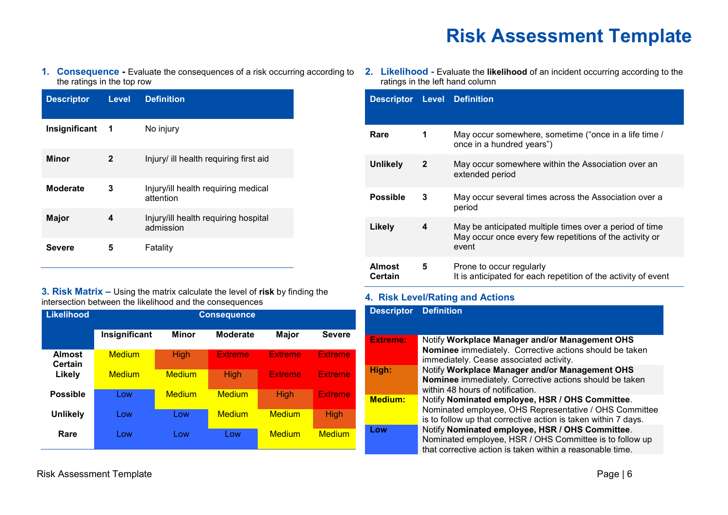the ratings in the top row

| <b>Descriptor</b> | <b>Level</b> | <b>Definition</b>                                 |
|-------------------|--------------|---------------------------------------------------|
| Insignificant     | 1            | No injury                                         |
| Minor             | $\mathbf{2}$ | Injury/ ill health requiring first aid            |
| Moderate          | 3            | Injury/ill health requiring medical<br>attention  |
| <b>Major</b>      | 4            | Injury/ill health requiring hospital<br>admission |
| <b>Severe</b>     | 5            | Fatality                                          |

**3. Risk Matrix –** Using the matrix calculate the level of **risk** by finding the intersection between the likelihood and the consequences

| <b>Likelihood</b>        | <b>Consequence</b> |               |                 |                |                |
|--------------------------|--------------------|---------------|-----------------|----------------|----------------|
|                          | Insignificant      | <b>Minor</b>  | <b>Moderate</b> | Major          | <b>Severe</b>  |
| <b>Almost</b><br>Certain | <b>Medium</b>      | <b>High</b>   | <b>Extreme</b>  | <b>Extreme</b> | <b>Extreme</b> |
| Likely                   | Medium             | <b>Medium</b> | <b>High</b>     | <b>Extreme</b> | <b>Extreme</b> |
| <b>Possible</b>          | Low                | Medium        | <b>Medium</b>   | <b>High</b>    | <b>Extreme</b> |
| <b>Unlikely</b>          | Low                | Low           | <b>Medium</b>   | <b>Medium</b>  | <b>High</b>    |
| Rare                     | Low                | Low           | Low             | <b>Medium</b>  | <b>Medium</b>  |

**1. Consequence -** Evaluate the consequences of a risk occurring according to 2. Likelihood - Evaluate the likelihood of an incident occurring according to the ratings in the left hand column

| <b>Descriptor</b>        |              | <b>Level Definition</b>                                                                                                     |
|--------------------------|--------------|-----------------------------------------------------------------------------------------------------------------------------|
| Rare                     | 1            | May occur somewhere, sometime ("once in a life time /<br>once in a hundred years")                                          |
| <b>Unlikely</b>          | $\mathbf{2}$ | May occur somewhere within the Association over an<br>extended period                                                       |
| <b>Possible</b>          | 3            | May occur several times across the Association over a<br>period                                                             |
| Likely                   | 4            | May be anticipated multiple times over a period of time<br>May occur once every few repetitions of the activity or<br>event |
| <b>Almost</b><br>Certain | 5            | Prone to occur regularly<br>It is anticipated for each repetition of the activity of event                                  |

#### **4. Risk Level/Rating and Actions**

| <b>Descriptor</b> | <b>Definition</b>                                                                                  |  |  |
|-------------------|----------------------------------------------------------------------------------------------------|--|--|
|                   |                                                                                                    |  |  |
| <b>Extreme:</b>   | Notify Workplace Manager and/or Management OHS                                                     |  |  |
|                   | Nominee immediately. Corrective actions should be taken<br>immediately. Cease associated activity. |  |  |
| High:             | Notify Workplace Manager and/or Management OHS                                                     |  |  |
|                   | Nominee immediately. Corrective actions should be taken                                            |  |  |
|                   | within 48 hours of notification.                                                                   |  |  |
| <b>Medium:</b>    | Notify Nominated employee, HSR / OHS Committee.                                                    |  |  |
|                   | Nominated employee, OHS Representative / OHS Committee                                             |  |  |
|                   | is to follow up that corrective action is taken within 7 days.                                     |  |  |
| Low               | Notify Nominated employee, HSR / OHS Committee.                                                    |  |  |
|                   | Nominated employee, HSR / OHS Committee is to follow up                                            |  |  |
|                   | that corrective action is taken within a reasonable time.                                          |  |  |